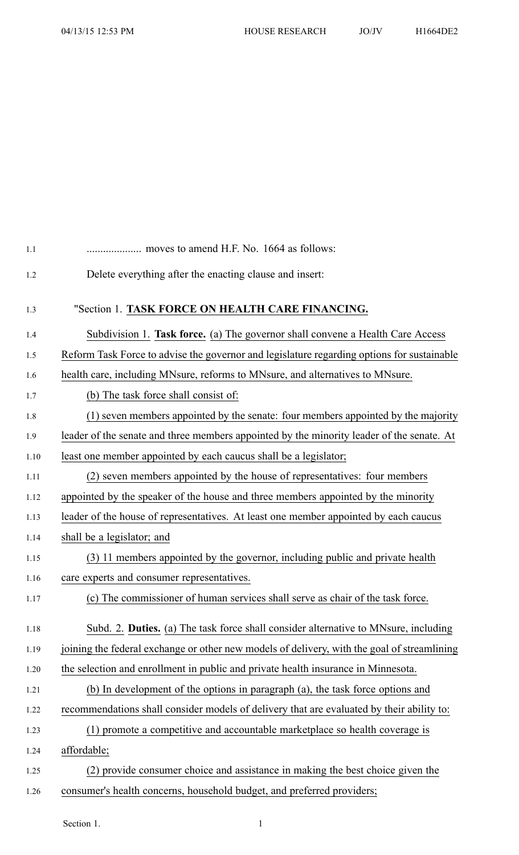| moves to amend H.F. No. 1664 as follows:                                                    |
|---------------------------------------------------------------------------------------------|
| Delete everything after the enacting clause and insert:                                     |
| "Section 1. TASK FORCE ON HEALTH CARE FINANCING.                                            |
| Subdivision 1. Task force. (a) The governor shall convene a Health Care Access              |
| Reform Task Force to advise the governor and legislature regarding options for sustainable  |
| health care, including MNsure, reforms to MNsure, and alternatives to MNsure.               |
| (b) The task force shall consist of:                                                        |
| (1) seven members appointed by the senate: four members appointed by the majority           |
| leader of the senate and three members appointed by the minority leader of the senate. At   |
| least one member appointed by each caucus shall be a legislator;                            |
| (2) seven members appointed by the house of representatives: four members                   |
| appointed by the speaker of the house and three members appointed by the minority           |
| leader of the house of representatives. At least one member appointed by each caucus        |
| shall be a legislator; and                                                                  |
| (3) 11 members appointed by the governor, including public and private health               |
| care experts and consumer representatives.                                                  |
| (c) The commissioner of human services shall serve as chair of the task force.              |
| Subd. 2. Duties. (a) The task force shall consider alternative to MNsure, including         |
| joining the federal exchange or other new models of delivery, with the goal of streamlining |
| the selection and enrollment in public and private health insurance in Minnesota.           |
| (b) In development of the options in paragraph (a), the task force options and              |
| recommendations shall consider models of delivery that are evaluated by their ability to:   |
| (1) promote a competitive and accountable market place so health coverage is                |
| affordable;                                                                                 |
| (2) provide consumer choice and assistance in making the best choice given the              |
| consumer's health concerns, household budget, and preferred providers;                      |